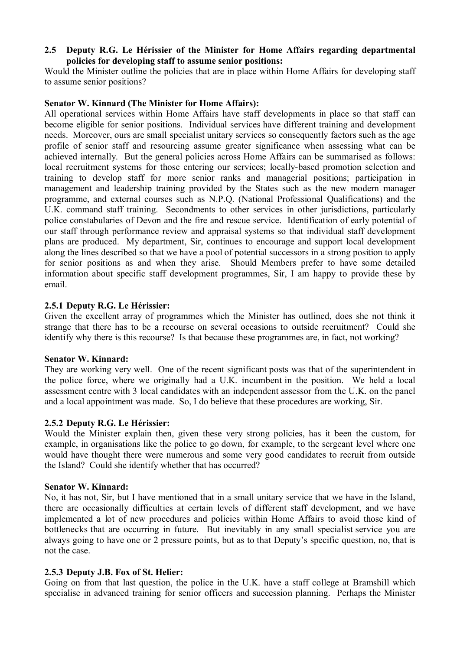# **2.5** � **Deputy R.G. Le Hérissier of the Minister for Home Affairs regarding departmental policies for developing staff to assume senior positions:**

Would the Minister outline the policies that are in place within Home Affairs for developing staff to assume senior positions?

# **Senator W. Kinnard (The Minister for Home Affairs):**

All operational services within Home Affairs have staff developments in place so that staff can become eligible for senior positions. Individual services have different training and development needs. Moreover, ours are small specialist unitary services so consequently factors such as the age profile of senior staff and resourcing assume greater significance when assessing what can be achieved internally. But the general policies across Home Affairs can be summarised as follows: local recruitment systems for those entering our services; locally-based promotion selection and training to develop staff for more senior ranks and managerial positions; participation in management and leadership training provided by the States such as the new modern manager programme, and external courses such as N.P.Q. (National Professional Qualifications) and the U.K. command staff training. Secondments to other services in other jurisdictions, particularly police constabularies of Devon and the fire and rescue service. Identification of early potential of our staff through performance review and appraisal systems so that individual staff development plans are produced. My department, Sir, continues to encourage and support local development along the lines described so that we have a pool of potential successors in a strong position to apply for senior positions as and when they arise. Should Members prefer to have some detailed information about specific staff development programmes, Sir, I am happy to provide these by email.

# **2.5.1 Deputy R.G. Le Hérissier:**

Given the excellent array of programmes which the Minister has outlined, does she not think it strange that there has to be a recourse on several occasions to outside recruitment? Could she identify why there is this recourse? Is that because these programmes are, in fact, not working?

### **Senator W. Kinnard:**

They are working very well. One of the recent significant posts was that of the superintendent in the police force, where we originally had a U.K. incumbent in the position. We held a local assessment centre with 3 local candidates with an independent assessor from the U.K. on the panel and a local appointment was made. So, I do believe that these procedures are working, Sir.

### **2.5.2 Deputy R.G. Le Hérissier:**

Would the Minister explain then, given these very strong policies, has it been the custom, for example, in organisations like the police to go down, for example, to the sergeant level where one would have thought there were numerous and some very good candidates to recruit from outside the Island? Could she identify whether that has occurred?

### **Senator W. Kinnard:**

No, it has not, Sir, but I have mentioned that in a small unitary service that we have in the Island, there are occasionally difficulties at certain levels of different staff development, and we have implemented a lot of new procedures and policies within Home Affairs to avoid those kind of bottlenecks that are occurring in future. But inevitably in any small specialist service you are always going to have one or 2 pressure points, but as to that Deputy's specific question, no, that is not the case.

# **2.5.3 Deputy J.B. Fox of St. Helier:**

Going on from that last question, the police in the U.K. have a staff college at Bramshill which specialise in advanced training for senior officers and succession planning. Perhaps the Minister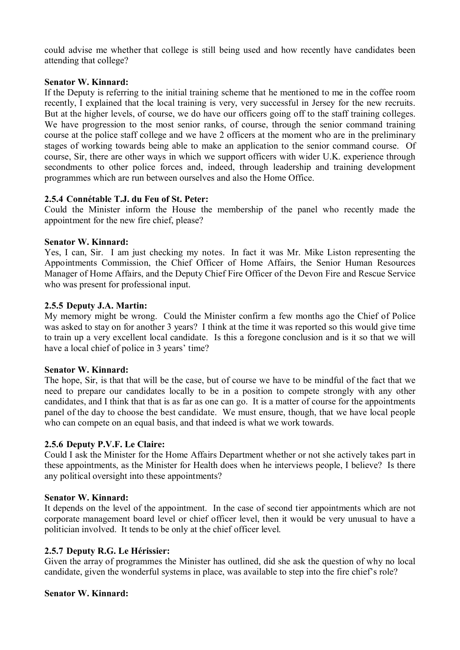could advise me whether that college is still being used and how recently have candidates been attending that college?

### **Senator W. Kinnard:**

If the Deputy is referring to the initial training scheme that he mentioned to me in the coffee room recently, I explained that the local training is very, very successful in Jersey for the new recruits. But at the higher levels, of course, we do have our officers going off to the staff training colleges. We have progression to the most senior ranks, of course, through the senior command training course at the police staff college and we have 2 officers at the moment who are in the preliminary stages of working towards being able to make an application to the senior command course. Of course, Sir, there are other ways in which we support officers with wider U.K. experience through secondments to other police forces and, indeed, through leadership and training development programmes which are run between ourselves and also the Home Office.

## **2.5.4 Connétable T.J. du Feu of St. Peter:**

Could the Minister inform the House the membership of the panel who recently made the appointment for the new fire chief, please?

#### **Senator W. Kinnard:**

Yes, I can, Sir. I am just checking my notes. In fact it was Mr. Mike Liston representing the Appointments Commission, the Chief Officer of Home Affairs, the Senior Human Resources Manager of Home Affairs, and the Deputy Chief Fire Officer of the Devon Fire and Rescue Service who was present for professional input.

#### **2.5.5 Deputy J.A. Martin:**

My memory might be wrong. Could the Minister confirm a few months ago the Chief of Police was asked to stay on for another 3 years? I think at the time it was reported so this would give time to train up a very excellent local candidate. Is this a foregone conclusion and is it so that we will have a local chief of police in 3 years' time?

#### **Senator W. Kinnard:**

The hope, Sir, is that that will be the case, but of course we have to be mindful of the fact that we need to prepare our candidates locally to be in a position to compete strongly with any other candidates, and I think that that is as far as one can go. It is a matter of course for the appointments panel of the day to choose the best candidate. We must ensure, though, that we have local people who can compete on an equal basis, and that indeed is what we work towards.

### **2.5.6 Deputy P.V.F. Le Claire:**

Could I ask the Minister for the Home Affairs Department whether or not she actively takes part in these appointments, as the Minister for Health does when he interviews people, I believe? Is there any political oversight into these appointments?

### **Senator W. Kinnard:**

It depends on the level of the appointment. In the case of second tier appointments which are not corporate management board level or chief officer level, then it would be very unusual to have a politician involved. It tends to be only at the chief officer level.

### **2.5.7 Deputy R.G. Le Hérissier:**

Given the array of programmes the Minister has outlined, did she ask the question of why no local candidate, given the wonderful systems in place, was available to step into the fire chief's role?

### **Senator W. Kinnard:**